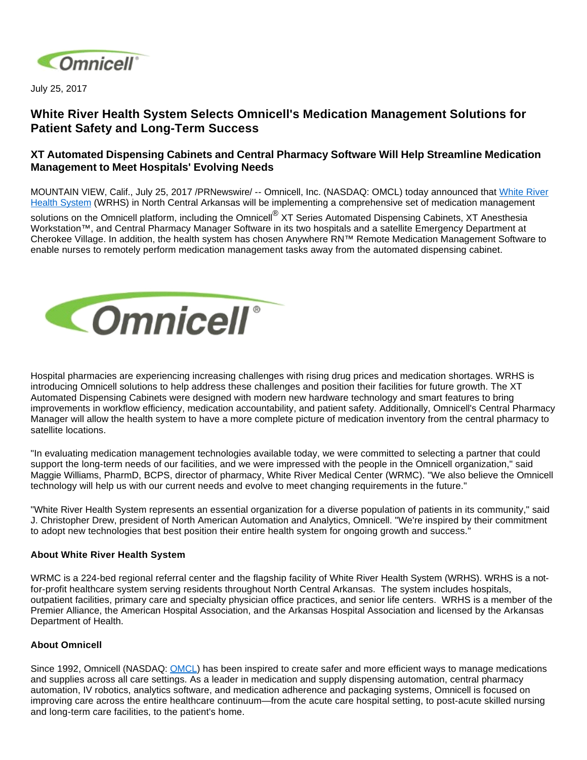

July 25, 2017

## **White River Health System Selects Omnicell's Medication Management Solutions for Patient Safety and Long-Term Success**

## **XT Automated Dispensing Cabinets and Central Pharmacy Software Will Help Streamline Medication Management to Meet Hospitals' Evolving Needs**

MOUNTAIN VIEW, Calif., July 25, 2017 /PRNewswire/ -- Omnicell, Inc. (NASDAQ: OMCL) today announced that [White River](http://www.whiteriverhealthsystem.com/)  [Health System](http://www.whiteriverhealthsystem.com/) (WRHS) in North Central Arkansas will be implementing a comprehensive set of medication management

solutions on the Omnicell platform, including the Omnicell<sup>®</sup> XT Series Automated Dispensing Cabinets, XT Anesthesia Workstation™, and Central Pharmacy Manager Software in its two hospitals and a satellite Emergency Department at Cherokee Village. In addition, the health system has chosen Anywhere RN™ Remote Medication Management Software to enable nurses to remotely perform medication management tasks away from the automated dispensing cabinet.



Hospital pharmacies are experiencing increasing challenges with rising drug prices and medication shortages. WRHS is introducing Omnicell solutions to help address these challenges and position their facilities for future growth. The XT Automated Dispensing Cabinets were designed with modern new hardware technology and smart features to bring improvements in workflow efficiency, medication accountability, and patient safety. Additionally, Omnicell's Central Pharmacy Manager will allow the health system to have a more complete picture of medication inventory from the central pharmacy to satellite locations.

"In evaluating medication management technologies available today, we were committed to selecting a partner that could support the long-term needs of our facilities, and we were impressed with the people in the Omnicell organization," said Maggie Williams, PharmD, BCPS, director of pharmacy, White River Medical Center (WRMC). "We also believe the Omnicell technology will help us with our current needs and evolve to meet changing requirements in the future."

"White River Health System represents an essential organization for a diverse population of patients in its community," said J. Christopher Drew, president of North American Automation and Analytics, Omnicell. "We're inspired by their commitment to adopt new technologies that best position their entire health system for ongoing growth and success."

## **About White River Health System**

WRMC is a 224-bed regional referral center and the flagship facility of White River Health System (WRHS). WRHS is a notfor-profit healthcare system serving residents throughout North Central Arkansas. The system includes hospitals, outpatient facilities, primary care and specialty physician office practices, and senior life centers. WRHS is a member of the Premier Alliance, the American Hospital Association, and the Arkansas Hospital Association and licensed by the Arkansas Department of Health.

## **About Omnicell**

Since 1992, Omnicell (NASDAQ: [OMCL\)](http://studio-5.financialcontent.com/prnews?Page=Quote&Ticker=OMCL) has been inspired to create safer and more efficient ways to manage medications and supplies across all care settings. As a leader in medication and supply dispensing automation, central pharmacy automation, IV robotics, analytics software, and medication adherence and packaging systems, Omnicell is focused on improving care across the entire healthcare continuum—from the acute care hospital setting, to post-acute skilled nursing and long-term care facilities, to the patient's home.